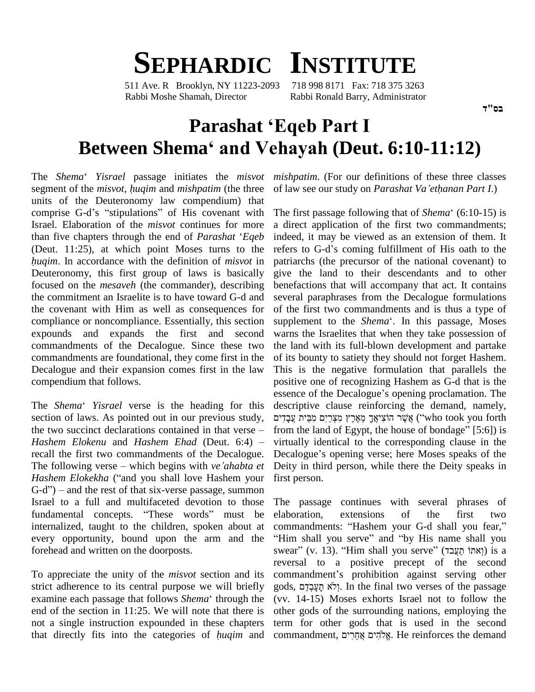## **SEPHARDIC INSTITUTE**

511 Ave. R Brooklyn, NY 11223-2093 718 998 8171 Fax: 718 375 3263 Rabbi Moshe Shamah, Director Rabbi Ronald Barry, Administrator

## **Parashat ëEqeb Part <sup>I</sup>** Rabbi Moshe Shamah, Director Rabbi Ronald Barry, Administrator<br> **Parashat 'Eqeb Part I**<br> **Between Shema<sup>4</sup> and Vehayah (Deut. 6:10-11:12) The** *Shema*<sup> $\cdot$ </sup> *Y*erma *Yisrael* passage initiates the *misvot mis*

The *Shema*<sup>4</sup> *Yisrael* passage initiates the *misvot mishp* segment of the *misvot*, *huqim* and *mishpatim* (the three of law units of the Deuteronomy law compendium) that segment of the *misvot*, *huqim* and *mishpatim* (the three of law<br>units of the Deuteronomy law compendium) that<br>comprise G-d's "stipulations" of His covenant with The fir Israel. Elaboration of the *misvot* continues for more comprise G-d's "stipulations" of His covenant with Israel. Elaboration of the *misvot* continues for more than five chapters through the end of *Parashat* '*Eqeb* (Deut. 11:25), at which point Moses turns to the refers *han five chapters through the end of Parashat 'Eqeb* indeed, (Deut. 11:25), at which point Moses turns to the refers *huqim*. In accordance with the definition of *misvot* in patriarch Deuteronomy, this first group of laws is basically focused on the *mesaveh* (the commander), describing the commitment an Israelite is to have toward G-d and the covenant with Him as well as consequences for compliance or noncompliance. Essentially, this section expounds and expands the first and second commandments of the Decalogue. Since these two commandments are foundational, they come first in the Decalogue and their expansion comes first in the law compendium that follows.

section of laws. As pointed out in our previous study, ים The *Shema' Yisrael* verse is the heading for this descripsection of laws. As pointed out in our previous study,  $\frac{1}{2}$  region of laws. As pointed out in our previous study,  $\frac{1}{2}$  region in that verse – from the tw *Hashem Elokenu* and *Hashem Ehad* (Deut. 6:4) <sup>ñ</sup> recall the first two commandments of the Decalogue. Decalogue's opening verse; here Moses speaks of the Hashem Elokenu and Hashem Ehad (Deut. 6:4) recall the first two commandments of the Decalogue. Decalor The following verse – which begins with *ve'ahabta et* Deity *Hashem Elokekha* ("and you shall love Hashem your first per The following verse – which begins with *ve'ahabta et* Deity i<br>Hashem Elokekha ("and you shall love Hashem your first pe<br>G-d") – and the rest of that six-verse passage, summon Israel to a full and multifaceted devotion to those G-d") – and the rest of that six-verse passage, summon<br>Israel to a full and multifaceted devotion to those<br>fundamental concepts. "These words" must be internalized, taught to the children, spoken about at every opportunity, bound upon the arm and the forehead and written on the doorposts.

To appreciate the unity of the *misvot* section and its strict adherence to its central purpose we will briefly gods, z To appreciate the unity of the *misvot* section and its commetrict adherence to its central purpose we will briefly gods, examine each passage that follows *Shema*<sup>4</sup> through the (vv. 1) end of the section in 11:25. We will note that there is other g<br>not a single instruction expounded in these chapters term f<br>that directly fits into the categories of *huqim* and comma not a single instruction expounded in these chapters

*mishpatim*. (For our definitions of these three classes of *mishpatim*. (For our definitions of these three classes of law see our study on *Parashat Va 'ethanan Part I*.) of law see our study on *Parashat Va'ethanan Part I*.)<br>The first passage following that of *Shema*<sup>é</sup> (6:10-15) is

essence of the Decalogue's opening proclamation. The<br>The *Shema*<sup>\*</sup> *Yisrael* verse is the heading for this descriptive clause reinforcing the demand, namely, a direct application of the first two commandments;<br>indeed, it may be viewed as an extension of them. It<br>refers to G-d's coming fulfillment of His oath to the indeed, it may be viewed as an extension of them. It patriarchs (the precursor of the national covenant) to give the land to their descendants and to other benefactions that will accompany that act. It contains several paraphrases from the Decalogue formulations of the first two commandments and is thus a type of supplement to the *Shema*<sup>e</sup>. In this passage, Moses warns the Israelites that when they take possession of the land with its full-blown development and partake of its bounty to satiety they should not forget Hashem. This is the negative formulation that parallels the positive one of recognizing Hashem as G-d that is the essence of the Decalogue's opening proclamation. The positive one of recognizing Hashem as G-d that is the essence of the Decalogue's opening proclamation. The descriptive clause reinforcing the demand, namely,<br>אֱשֶׁר הוֹצִיאֲךָ מֵאֶרֶץ מִצְרָיִם מִכֵּית עֲבָדִים (''who took you forth descriptive clause reinforcing the demand, namely,<br>אֱשֶׁר הוֹצִיאֲךָ מֵאֶרֶץ מִצְרַיִם מִבֵּית עֲבָדִים notok you forth from the land of Egypt, the house of bondage" [5:6]) is virtually identical to the corresponding clause in the from the land of Egypt, the house of bondage"  $[5:6]$ ) is Deity in third person, while there the Deity speaks in first person.

> The passage continues with several phrases of elaboration, extensions of the first two elaboration, extensions of the first two<br>commandments: "Hashem your G-d shall you fear," laboration, extensions of the first two<br>ommandments: "Hashem your G-d shall you fear,"<br>Him shall you serve" and "by His name shall you commandments: "Hashem your G-d shall you fear,"<br>"Him shall you serve" and "by His name shall you<br>swear" (יְאתּוֹ תַעֲבד) is a reversal to a positive precept of the second swear" (v. 13). "Him shall you serve" (יאתוֹ חַעֲבד) is a<br>reversal to a positive precept of the second<br>commandment's prohibition against serving other reversal to a positive precept of the second<br>commandment's prohibition against serving other<br>gods, פִעֲבְדָם In the final two verses of the passage (vv. 14-15) Moses exhorts Israel not to follow the other gods of the surrounding nations, employing the<br>term for other gods that is used in the second<br>commandment, אֱלֹהִים אֲחֲרִים, He reinforces the demand term for other gods that is used in the second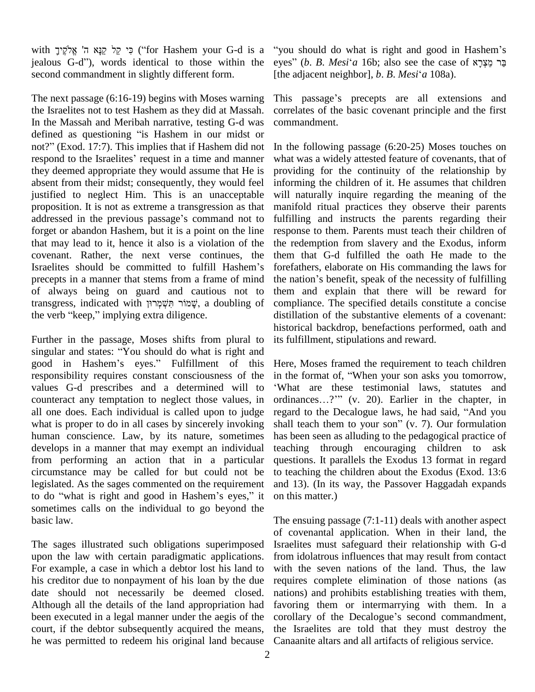with פֵּי קֵל קַנָּא ה' אֱלֹקֶיךָ) (for Hashem your G-d is a ''you jealous G-d"), words identical to those within the eyes" (b. B. Mesi'a 16b; also see the case of  $x$ בר מצרא second commandment in slightly different form.

The next passage (6:16-19) begins with Moses warning the Israelites not to test Hashem as they did at Massah. corr<br>In the Massah and Meribah narrative, testing G-d was com<br>defined as questioning "is Hashem in our midst or In the Massah and Meribah narrative, testing G-d was defined as questioning "is Hashem in our midst or not?" (Exod. 17:7). This implies that if Hashem did not respond to the Israelites' request in a time and manner they deemed appropriate they would assume that He is absent from their midst; consequently, they would feel justified to neglect Him. This is an unacceptable will naproposition. It is not as extreme a transgression as that maniford addressed in the previous passage's command not to fulfilling proposition. It is not as extreme a transgression as that forget or abandon Hashem, but it is a point on the line that may lead to it, hence it also is a violation of the the recovenant. Rather, the next verse continues, the them<br>Israelites should be committed to fulfill Hashem's forefa covenant. Rather, the next verse continues, the precepts in a manner that stems from a frame of mind the nat<br>of always being on guard and cautious not to them<br>transgress, indicated with שֲמוֹר תִּשְׁמְרוּ; a doubling of compli of always being on guard and cautious not to transgress, indicated with שְׁמוֹר הִשְׁמְרוּן a doubling of the verb "keep," implying extra diligence.

Further in the passage, Moses shifts from plural to singular and states: "You should do what is right and good in Hashem's eyes." Fulfillment of this responsibility requires constant consciousness of the values G-d prescribes and a determined will to 'What are these testimonial laws, statutes and counteract any temptation to neglect those values, in ordinances...?" (v. 20). Earlier in the chapter, in counteract any temptation to neglect those values, in all one does. Each individual is called upon to judge regard to the Decalogue laws, he had said, "And you what is proper to do in all cases by sincerely invoking human conscience. Law, by its nature, sometimes develops in a manner that may exempt an individual from performing an action that in a particular circumstance may be called for but could not be legislated. As the sages commented on the requirement to do "what is right and good in Hashem's eyes," it sometimes calls on the individual to go beyond the basic law.

The sages illustrated such obligations superimposed upon the law with certain paradigmatic applications. For example, a case in which a debtor lost his land to his creditor due to nonpayment of his loan by the due date should not necessarily be deemed closed. Although all the details of the land appropriation had been executed in a legal manner under the aegis of the corollary of the Decalogue's second commandment, court, if the debtor subsequently acquired the means, he was permitted to redeem his original land because

you should do what is right and good in Hashem's "you should do what is right and good in Hashem's<br>eyes" (*b. B. Mesi'a* 16b; also see the case of פֵר מֵצְרָא [the adjacent neighbor], *<sup>b</sup>*. *<sup>B</sup>*. *Mesi*ë*<sup>a</sup>* 108a).

This passage's precepts are all extensions and correlates of the basic covenant principle and the first commandment.

In the following passage (6:20-25) Moses touches on what was a widely attested feature of covenants, that of providing for the continuity of the relationship by informing the children of it. He assumes that children will naturally inquire regarding the meaning of the manifold ritual practices they observe their parents fulfilling and instructs the parents regarding their response to them. Parents must teach their children of the redemption from slavery and the Exodus, inform them that G-d fulfilled the oath He made to the forefathers, elaborate on His commanding the laws for the nation's benefit, speak of the necessity of fulfilling them and explain that there will be reward for compliance. The specified details constitute a concise distillation of the substantive elements of a covenant: historical backdrop, benefactions performed, oath and its fulfillment, stipulations and reward.

Here, Moses framed the requirement to teach children in the format of, "When your son asks you tomorrow, What are these testimonial laws, statutes and in the format of, "When your son asks you tomorrow,<br>
"What are these testimonial laws, statutes and<br>
ordinances...?" (v. 20). Earlier in the chapter, in 'What are these testimonial laws, statutes and ordinances...?'" (v. 20). Earlier in the chapter, in regard to the Decalogue laws, he had said, "And you shall teach them to your son"  $(v, 7)$ . Our formulation has been seen as alluding to the pedagogical practice of teaching through encouraging children to ask questions. It parallels the Exodus 13 format in regard to teaching the children about the Exodus (Exod. 13:6 and 13). (In its way, the Passover Haggadah expands on this matter.)

The ensuing passage (7:1-11) deals with another aspect of covenantal application. When in their land, the Israelites must safeguard their relationship with G-d from idolatrous influences that may result from contact with the seven nations of the land. Thus, the law requires complete elimination of those nations (as nations) and prohibits establishing treaties with them, favoring them or intermarrying with them. In a nations) and prohibits establishing treaties with them,<br>favoring them or intermarrying with them. In a<br>corollary of the Decalogue's second commandment, the Israelites are told that they must destroy the Canaanite altars and all artifacts of religious service.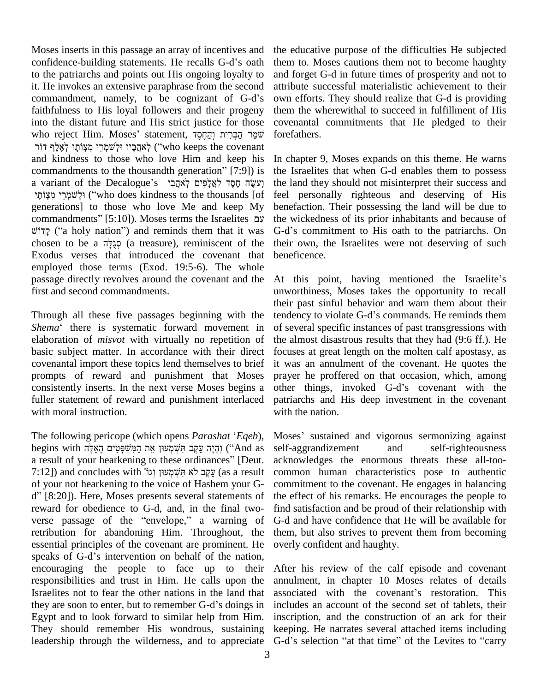Moses inserts in this passage an array of incentives and the edu Moses inserts in this passage an array of incentives and the edu<br>confidence-building statements. He recalls G-d's oath them to to the patriarchs and points out His ongoing loyalty to and for<br>it. He invokes an extensive paraphrase from the second attribut<br>commandment, namely, to be cognizant of G-d's own ef it. He invokes an extensive paraphrase from the second faithfulness to His loyal followers and their progeny them the<br>into the distant future and His strict justice for those covenant<br>שׁמֵּר הַבְּרִית וְהֵחֶסֶד (הַכְּרִית וְהַחֶּסָד torefathe into the distant future and His strict justice for those coven who reject Him. Moses' statement, שַׁמֵּר הַבְּרִית וְהַחֶסֶד<br>אָהֶבַיו וּלְשׁמְרֵי מִצְוֹתַו לְאֵלֵף דוֹר) ("who keeps the covenant and kindness to those who love Him and keep his יאהַבָּיו וּלְשׁמְרֵי מִצְוֹתָו לְאֶלֶף דוֹר ("who keeps the covenant and kindness to those who love Him and keep his In ch<br>commandments to the thousandth generation" [7:9]) is the I and kindness to those who love Him and keep his In<br>commandments to the thousandth generation" [7:9]) is the<br>parametric pecalogue s יְעֲשֶׂה הָסֶד לַאֲלָפִים לְאֹהֲבַי commandments to the thousandth generation" [7:9]) is andments to the thousandth generation" [7:9]) is the<br>ant of the Decalogue's יִעְשֶׂהָ קָסֶד לַאֲלָפִים לְאֹהֲבַי<br>יְנִישְׁמֶרֵי ("who does kindness to the thousands [of ] feel generations] to those who love Me and keep My ילְשׁמְרֵי מִצְוֹתָי ("who does kindness to the thousands [of feel generations] to those who love Me and keep My ben commandments" [5:10]). Moses terms the Israelites עֲמוּ ations] to those who love Me and keep My bene<br>nandments" [5:10]). Moses terms the Israelites  $\psi$  the v<br>("a holy nation") and reminds them that it was G-d" commandments" [5:10]). Moses terms the Israelites עֲם the w<br>קְּיָלֹוּ ("a holy nation") and reminds them that it was G-d's chosen to be a חֲגֲלָּה (a treasure), reminiscent of the their Exodus verses that introduced the covenant that employed those terms (Exod. 19:5-6). The whole passage directly revolves around the covenant and the first and second commandments.

Through all these five passages beginning with the tendency to violate G-d's commands. He reminds them *Shema*<sup>ë</sup> there is systematic forward movement in elaboration of *misvot* with virtually no repetition of basic subject matter. In accordance with their direct covenantal import these topics lend themselves to brief prompts of reward and punishment that Moses consistently inserts. In the next verse Moses begins a fuller statement of reward and punishment interlaced with moral instruction.

The following pericope (which opens *Parashat* '*Eqeb*), The following pericope (which opens *Parashat ʿEqeb*), Mose<br>begins with יְהָיָה עֵקֱב תִּשְׁמְעוּן אֶת הַמִּשְׁפָּטִים הָאֵלֶּה ('And as self-a The following pericope (which opens *Parashat 'Eqeb*), M<br>begins with הָאֲלֶה הַמְּשְׁפָּטִים הָאֲלֶה [peris] (הָיָה עֲקֶב תִּשְׁמָעוּן אֵת הַמִּשְׁפָּטִים הָאֲלֶה<br>a result of your hearkening to these ordinances" [Deut. a begins with יְהָיָה עֵקֶב תִּשְׁמְעוּן אֵת הַמִּשְׁפָּטִים הָאֵלֶּה sel a result of your hearkening to these ordinances" [Deut. ack<br>קַעֲקֶב לֹא תִּשְׁמְעוּן וְגוֹ' and concludes with עֲקֶב לֹא תִּשְׁמְעוּן וְגוֹ' (as a re of your not hearkening to the voice of Hashem your G- 7:12]) and concludes with עֲקֶב לֹא תִּשְׁמְעוּךְ וְגוֹ' (as a result com of your not hearkening to the voice of Hashem your G- com d'' [8:20]). Here, Moses presents several statements of the reward for obedience to G-d, and, in the final two d" [8:20]). Here, Moses presents several statements of reward for obedience to G-d, and, in the final two-<br>verse passage of the "envelope," a warning of retribution for abandoning Him. Throughout, the essential principles of the covenant are prominent. He retribution for abandoning Him. Throughout, the the essential principles of the covenant are prominent. He overlasts of G-d's intervention on behalf of the nation, encouraging the people to face up to their responsibilities and trust in Him. He calls upon the annuln<br>Israelites not to fear the other nations in the land that associa<br>they are soon to enter, but to remember G-d's doings in include Israelites not to fear the other nations in the land that associated with the covenant's restoration. This Egypt and to look forward to similar help from Him. They should remember His wondrous, sustaining

the educative purpose of the difficulties He subjected them to. Moses cautions them not to become haughty and forget G-d in future times of prosperity and not to attribute successful materialistic achievement to their own efforts. They should realize that G-d is providing them the wherewithal to succeed in fulfillment of His covenantal commitments that He pledged to their forefathers.

In chapter 9, Moses expands on this theme. He warns the Israelites that when G-d enables them to possess the land they should not misinterpret their success and feel personally righteous and deserving of His benefaction. Their possessing the land will be due to the wickedness of its prior inhabitants and because of G-dí<sup>s</sup> commitment to His oath to the patriarchs. On their own, the Israelites were not deserving of such beneficence.

At this point, having mentioned the Israelite's unworthiness, Moses takes the opportunity to recall their past sinful behavior and warn them about their unworthiness, Moses takes the opportunity to recall<br>their past sinful behavior and warn them about their<br>tendency to violate G-d's commands. He reminds them of several specific instances of past transgressions with the almost disastrous results that they had  $(9:6 \text{ ff.})$ . He focuses at great length on the molten calf apostasy, as it was an annulment of the covenant. He quotes the prayer he proffered on that occasion, which, among other things, invoked G-d's covenant with the patriarchs and His deep investment in the covenant with the nation.

Moses' sustained and vigorous sermonizing against self-aggrandizement and self-righteousness acknowledges the enormous threats these all-too common human characteristics pose to authentic commitment to the covenant. He engages in balancing the effect of his remarks. He encourages the people to find satisfaction and be proud of their relationship with G-d and have confidence that He will be available for them, but also strives to prevent them from becoming overly confident and haughty.

Egypt and to look forward to similar help from Him. inscription, and the construction of an ark for their They should remember His wondrous, sustaining keeping. He narrates several attached items including leadership throu After his review of the calf episode and covenant<br>annulment, in chapter 10 Moses relates of details<br>associated with the covenant's restoration. This annulment, in chapter 10 Moses relates of details includes an account of the second set of tablets, their inscription, and the construction of an ark for their keeping. He narrates several attached items including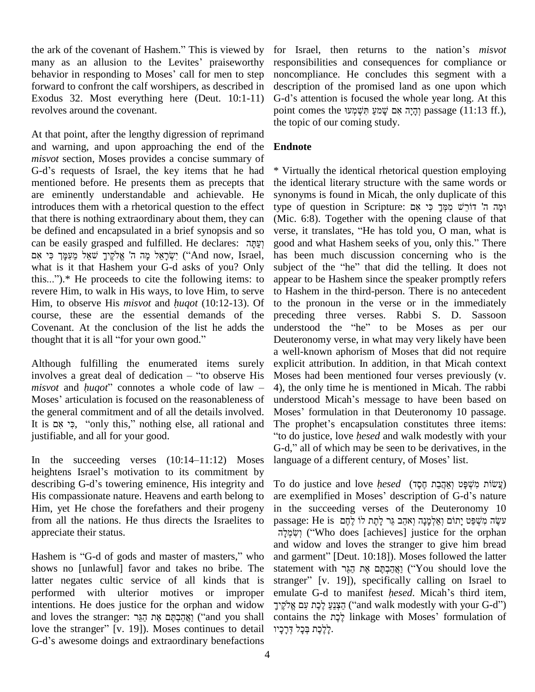the ark of the covenant of Hashem." This is viewed by for Is the ark of the covenant of Hashem." This is viewed by for Is<br>many as an allusion to the Levites' praiseworthy respone the ark of the covenant of Hashem." This is viewed by for Is<br>many as an allusion to the Levites' praiseworthy respon-<br>behavior in responding to Moses' call for men to step noncor forward to confront the calf worshipers, as described in Exodus 32. Most everything here (Deut. 10:1-11) G-d's attention is focused the whole year long. At this revolves around the covenant.

At that point, after the lengthy digression of reprimand and warning, and upon approaching the end of the *misvot* section, Moses provides a concise summary of and warning, and upon approaching the end of the Endno<br>misvot section, Moses provides a concise summary of<br>G-d's requests of Israel, the key items that he had \* Virtu mentioned before. He presents them as precepts that are eminently understandable and achievable. He introduces them with a rhetorical question to the effect that there is nothing extraordinary about them, they can be defined and encapsulated in a brief synopsis and so verse, that there is nothing extraordinary about them, they can<br>be defined and encapsulated in a brief synopsis and so ver<br>can be easily grasped and fulfilled. He declares: יָפָהָה goo be defined and encapsulated<br>can be easily grasped and f<br>מה ה' אלקיר שאל מעמר כי אם ted in a brief synopsis and so ve<br>I fulfilled. He declares: יַעֲתָּה<br>יִשְׂרָאֱל מֶה ("And now, Israel, ha what is it that Hashem your G-d asks of you? Only subject of the "he" that did the telling. It does not יִשְׂרָאֵל מָה ה' אֱלֹקֶיךָ שֹׁאֵל מֵעִמָּךְ כִּי אִם (And now, Israel, has be what is it that Hashem your G-d asks of you? Only subject this...").\* He proceeds to cite the following items: to appear revere Him, to walk in His ways, to love Him, to serve this...").\* He proceeds to cite the following items: to revere Him, to walk in His ways, to love Him, to serve Him, to observe His *misvot* and *hugot* (10:12-13). Of course, these are the essential demands of the Covenant. At the conclusion of the list he adds the course, these are the essential demands of<br>Covenant. At the conclusion of the list he add<br>thought that it is all "for your own good."

Although fulfilling the enumerated items surely a we<br>Although fulfilling the enumerated items surely expli<br>involves a great deal of dedication – "to observe His Mose Although fulfilling the enumerated items surely explicit involves a great deal of dedication – "to observe His Moses h *misvot* and *huqot*" connotes a whole code of law – 4), the o involves a great deal of dedication – "to observe His Moses had been mentioned four verses previously (v. *misvot* and *huqot*" connotes a whole code of law – 4), the only time he is mentioned in Micah. The rabbi Moses' a the general commitment and of all the details involved. Moses' formulation in that Deuteronomy 10 passage. It is אָם, "only this," nothing else, all rational and justifiable, and all for your good. justifiable, and all for your good. "to d<br>
In the succeeding verses (10:14–11:12) Moses langu

In the succeeding verses  $(10:14-11:12)$  Moses language heightens Israel's motivation to its commitment by In the succeeding verses (10:14–11:12) Moses language<br>heightens Israel's motivation to its commitment by<br>describing G-d's towering eminence, His integrity and To do His compassionate nature. Heavens and earth belong to are exemplified in Moses' description of G-d's nature Him, yet He chose the forefathers and their progeny from all the nations. He thus directs the Israelites to appreciate their status.

shows no [unlawful] favor and takes no bribe. The latter negates cultic service of all kinds that is performed with ulterior motives or improper emulate G-d to manifest *hesed*. Micah's third item, intentions. He does justice for the orphan and widow performed with ulterior motives or improper em<br>intentions. He does justice for the orphan and widow  $\overline{\gamma}$ ֲ<br>and loves the stranger: אֲת הַגֵּר ('and you shall cor intentions. He does justice for the orphan and widow קיך<br>and loves the stranger: יַבְּוֹר (and you shall continues to detail)<br>יָכִיו Moses continues to detail (דָי and loves the stranger: וַאֲהַכְהָּם אֶת הַגֵּר ("and you shall conta<br>love the stranger" [v. 19]). Moses continues to detail<br>G-d's awesome doings and extraordinary benefactions

for Israel, then returns to the nation's *misvot* responsibilities and consequences for compliance or noncompliance. He concludes this segment with a description of the promised land as one upon which G-d's attention is focused the whole year long. At this description of the promised land as one upon which point comes the יְהָיָה אָם שָׁמִעַ חִּשְׁמְעוּ passage (11:13 ff.), the topic of our coming study.

## **Endnote**

\* Virtually the identical rhetorical question employing the identical literary structure with the same words or<br>synonyms is found in Micah, the only duplicate of this<br>וּמָה ה' דוֹרֵשׁ מִמְּךָ כִּי אִם synonyms is found in Micah, the only duplicate of this (Mic. 6:8). Together with the opening clause of that verse, it translates, "He has told you, O man, what is good and what Hashem seeks of you, only this." There type of question in Scripture: וּמָה ה' דוֹרֵשׁ מִמְּךָ כִּי אִם<br>(Mic. 6:8). Together with the opening clause of that<br>verse, it translates, "He has told you, O man, what is has been much discussion concerning who is the good and what Hashem seeks of you, only this." There<br>has been much discussion concerning who is the<br>subject of the "he" that did the telling. It does not appear to be Hashem since the speaker promptly refers to Hashem in the third-person. There is no antecedent to the pronoun in the verse or in the immediately preceding three verses. Rabbi S. D. Sassoon understood the "he" to be Moses as per our Deuteronomy verse, in what may very likely have been a well-known aphorism of Moses that did not require explicit attribution. In addition, in that Micah context Moses had been mentioned four verses previously (v. 4), the only time he is mentioned in Micah. The rabbi understood Micah's message to have been based on 4), the only time he is mentioned in Micah. The rabbi Moses<sup>í</sup> formulation in that Deuteronomy <sup>10</sup> passage. understood Micah's message to have been based on<br>Moses' formulation in that Deuteronomy 10 passage.<br>The prophet's encapsulation constitutes three items: Aoses' formulation in that Deuteronomy 10 passage.<br>The prophet's encapsulation constitutes three items:<br>to do justice, love *hesed* and walk modestly with your The prophet's encapsulation constitutes three items:<br>"to do justice, love *hesed* and walk modestly with your<br>G-d," all of which may be seen to be derivatives, in the "to do justice, love *hesed* and walk modestly with your G-d," all of which may be seen to be derivatives, in the language of a different century, of Moses' list. language of a different century, of Moses' list.<br>To do justice and love *hesed (*אֲקָבַת חֶסֶד)

appreciate their status.<br>
Hashem is "G-d of gods and master of masters," who and garment" [Deut. 10:18]). Moses followed the latter To do justice and love *hesed (אֲהָבָת חֶסֶד)*<br>are exemplified in Moses' description of G-d's nature in the succeeding verses of the Deuteronomy 10 are exemplified in Moses' description of G-d's nature<br>in the succeeding verses of the Deuteronomy 10<br>עשֶׂה מִשְׁפֵּט יָתוֹם וְאֲלְמָּנָָה וְאהֵב גֵּר לְחֶת לוֹ לֶהֶם succeeding verses of the Deuteronomy 10<br>: He is עשֶׂה מִשְׁפַּט יָתוֹם וְאַלְמָנָה וְאהֵב גֵּר לְחֶת לוֹ לֶחֶם<br> יִשְׂה מִשְׁפַּט יָתוֹם וֹצוֹנוֹ (Who does [achieves] justice for the orphan and widow and loves the stranger to give him bread יִשׂמְלָה ("Who does [achieves] justice for the orphan and widow and loves the stranger to give him bread and garment" [Deut. 10:18]). Moses followed the latter and widow and loves the stranger to give him bread<br>and garment" [Deut. 10:18]). Moses followed the latter<br>statement with אֲהֲבְקָּם אֶת הֲגֶּר ('You should love the and garment" [Deut. 10:18]). Moses followed the latter<br>statement with אֲהַבְהָּם אֶת הַגֵּר<br>(You should love the stranger" [v. 19]), specifically calling on Israel to statement with יְהֵבְּרָם אֶת הַגֵּר ("You should love the stranger" [v. 19]), specifically calling on Israel to emulate G-d to manifest *hesed*. Micah's third item, er" [v. 19]), specifically calling on Israel to<br>te G-d to manifest *hesed*. Micah's third item,<br>הַצְּנֵעַ לֶכֶת עִם ("and walk modestly with your G-d") emulate G-d to manifest *hesed*. Micah's third item,<br>הַצְנֵעַ לֶכֶת עִם אֱלֹקֱיךָ ("and walk modestly with your G-d")<br>contains the לֶכֶת linkage with Moses' formulation of <mark>ְ</mark>יָעָ לֶכֶת עִם אֱלֹקֶיךָ<br>contains the י<br>לֶלֶכֶת בְּכָל דָּרָכָיו.